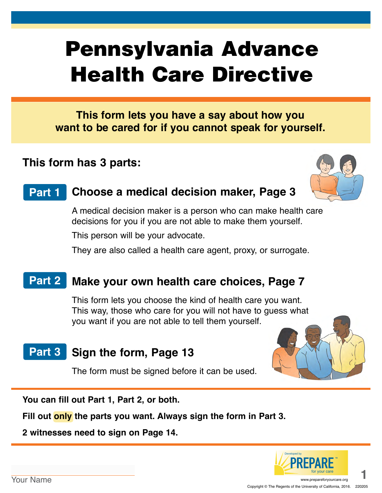# Pennsylvania Advance Health Care Directive

**This form lets you have a say about how you want to be cared for if you cannot speak for yourself.**

# **This form has 3 parts:**



#### **Choose a medical decision maker, Page 3 Part 1**

A medical decision maker is a person who can make health care decisions for you if you are not able to make them yourself.

This person will be your advocate.

They are also called a health care agent, proxy, or surrogate.

#### **Make your own health care choices, Page 7 Part 2**

This form lets you choose the kind of health care you want. This way, those who care for you will not have to guess what you want if you are not able to tell them yourself.

# Part 3 Sign the form, Page 13

The form must be signed before it can be used.



**You can fill out Part 1, Part 2, or both.** 

**Fill out only the parts you want. Always sign the form in Part 3.**

**2 witnesses need to sign on Page 14.**

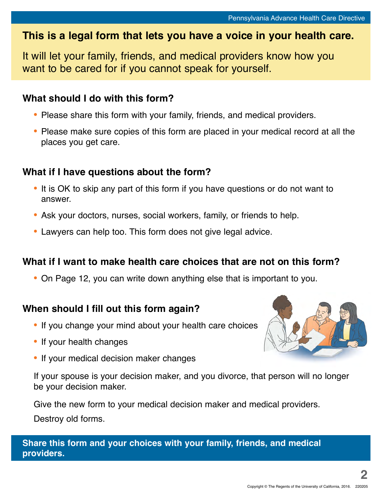# **This is a legal form that lets you have a voice in your health care.**

It will let your family, friends, and medical providers know how you want to be cared for if you cannot speak for yourself.

### **What should I do with this form?**

- **•** Please share this form with your family, friends, and medical providers.
- **•** Please make sure copies of this form are placed in your medical record at all the places you get care.

### **What if I have questions about the form?**

- **•** It is OK to skip any part of this form if you have questions or do not want to answer.
- **•** Ask your doctors, nurses, social workers, family, or friends to help.
- **•** Lawyers can help too. This form does not give legal advice.

### **What if I want to make health care choices that are not on this form?**

**•** On Page 12, you can write down anything else that is important to you.

### **When should I fill out this form again?**

- **•** If you change your mind about your health care choices
- **•** If your health changes
- **•** If your medical decision maker changes



If your spouse is your decision maker, and you divorce, that person will no longer be your decision maker.

Give the new form to your medical decision maker and medical providers. Destroy old forms.

**Share this form and your choices with your family, friends, and medical providers.**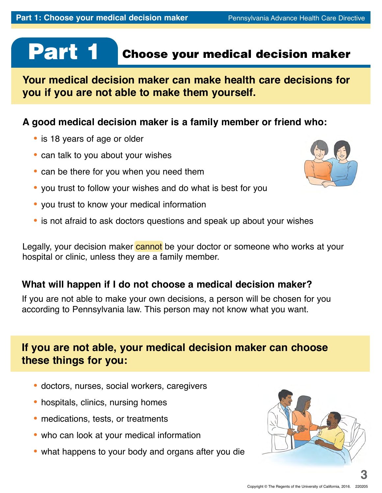# Part 1

# Choose your medical decision maker

**Your medical decision maker can make health care decisions for you if you are not able to make them yourself.**

### **A good medical decision maker is a family member or friend who:**

- **•** is 18 years of age or older
- **•** can talk to you about your wishes
- **•** can be there for you when you need them
- **•** you trust to follow your wishes and do what is best for you
- **•** you trust to know your medical information
- **•** is not afraid to ask doctors questions and speak up about your wishes

Legally, your decision maker cannot be your doctor or someone who works at your hospital or clinic, unless they are a family member.

### **What will happen if I do not choose a medical decision maker?**

If you are not able to make your own decisions, a person will be chosen for you according to Pennsylvania law. This person may not know what you want.

# **If you are not able, your medical decision maker can choose these things for you:**

- **•** doctors, nurses, social workers, caregivers
- **•** hospitals, clinics, nursing homes
- **•** medications, tests, or treatments
- **•** who can look at your medical information
- **•** what happens to your body and organs after you die



**3**

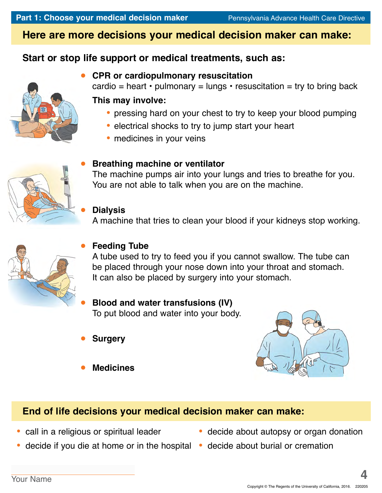# **Here are more decisions your medical decision maker can make:**

## **Start or stop life support or medical treatments, such as:**



### **CPR or cardiopulmonary resuscitation**

cardio = heart  $\cdot$  pulmonary = lungs  $\cdot$  resuscitation = try to bring back

### **This may involve:**

- **•** pressing hard on your chest to try to keep your blood pumping
- **•** electrical shocks to try to jump start your heart
- **•** medicines in your veins



### **Breathing machine or ventilator**

The machine pumps air into your lungs and tries to breathe for you. You are not able to talk when you are on the machine.

### **Dialysis**

A machine that tries to clean your blood if your kidneys stop working.



### **Feeding Tube**

A tube used to try to feed you if you cannot swallow. The tube can be placed through your nose down into your throat and stomach. It can also be placed by surgery into your stomach.

### **Blood and water transfusions (IV)** To put blood and water into your body.

- **Surgery**
- **Medicines**



# **End of life decisions your medical decision maker can make:**

- **•** call in a religious or spiritual leader
- **•** decide if you die at home or in the hospital **•** decide about burial or cremation
- decide about autopsy or organ donation
	-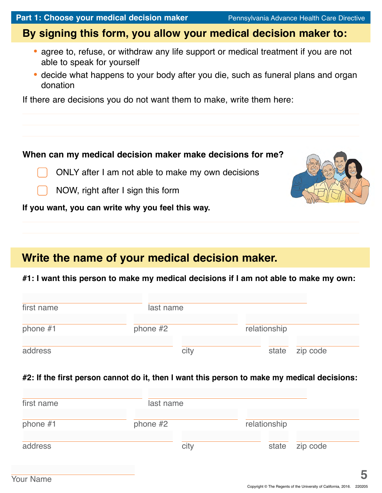# **By signing this form, you allow your medical decision maker to:**

- **•** agree to, refuse, or withdraw any life support or medical treatment if you are not able to speak for yourself
- **•** decide what happens to your body after you die, such as funeral plans and organ donation

If there are decisions you do not want them to make, write them here:

### **When can my medical decision maker make decisions for me?**

ONLY after I am not able to make my own decisions



NOW, right after I sign this form

**If you want, you can write why you feel this way.**

# **Write the name of your medical decision maker.**

### **#1: I want this person to make my medical decisions if I am not able to make my own:**

| first name | last name  |      |              |                |
|------------|------------|------|--------------|----------------|
| phone $#1$ | phone $#2$ |      | relationship |                |
| address    |            | city |              | state zip code |

### **#2: If the first person cannot do it, then I want this person to make my medical decisions:**

| first name | last name  |      |              |       |          |
|------------|------------|------|--------------|-------|----------|
| phone $#1$ | phone $#2$ |      | relationship |       |          |
| address    |            | city |              | state | zip code |

**5**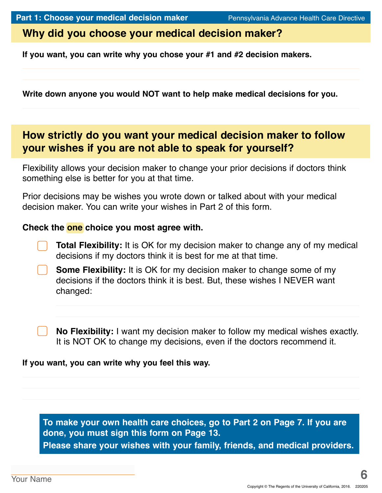### **Why did you choose your medical decision maker?**

**If you want, you can write why you chose your #1 and #2 decision makers.** 

**Write down anyone you would NOT want to help make medical decisions for you.**

# **How strictly do you want your medical decision maker to follow your wishes if you are not able to speak for yourself?**

Flexibility allows your decision maker to change your prior decisions if doctors think something else is better for you at that time.

Prior decisions may be wishes you wrote down or talked about with your medical decision maker. You can write your wishes in Part 2 of this form.

### **Check the one choice you most agree with.**

**Total Flexibility:** It is OK for my decision maker to change any of my medical decisions if my doctors think it is best for me at that time.

**Some Flexibility:** It is OK for my decision maker to change some of my decisions if the doctors think it is best. But, these wishes I NEVER want changed:

**No Flexibility:** I want my decision maker to follow my medical wishes exactly. It is NOT OK to change my decisions, even if the doctors recommend it.

### **If you want, you can write why you feel this way.**

**To make your own health care choices, go to Part 2 on Page 7. If you are done, you must sign this form on Page 13. Please share your wishes with your family, friends, and medical providers.**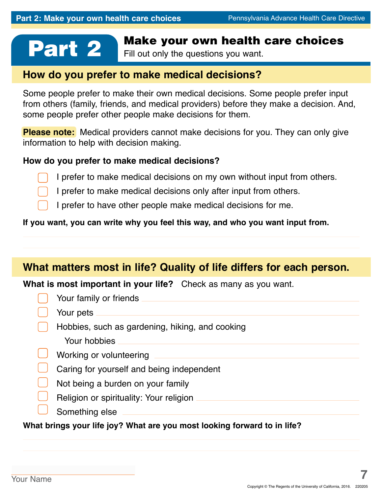# **Part 2** Make your own health care choices

Fill out only the questions you want.

### **How do you prefer to make medical decisions?**

Some people prefer to make their own medical decisions. Some people prefer input from others (family, friends, and medical providers) before they make a decision. And, some people prefer other people make decisions for them.

**Please note:** Medical providers cannot make decisions for you. They can only give information to help with decision making.

### **How do you prefer to make medical decisions?**

I prefer to make medical decisions on my own without input from others.

I prefer to make medical decisions only after input from others.

I prefer to have other people make medical decisions for me.

### **If you want, you can write why you feel this way, and who you want input from.**

## **What matters most in life? Quality of life differs for each person.**

**What is most important in your life?** Check as many as you want.

| Your family or friends                          |
|-------------------------------------------------|
| Your pets                                       |
| Hobbies, such as gardening, hiking, and cooking |
| Your hobbies                                    |
| Working or volunteering                         |
| Caring for yourself and being independent       |
| Not being a burden on your family               |
| Religion or spirituality: Your religion         |
| Something else                                  |

**What brings your life joy? What are you most looking forward to in life?**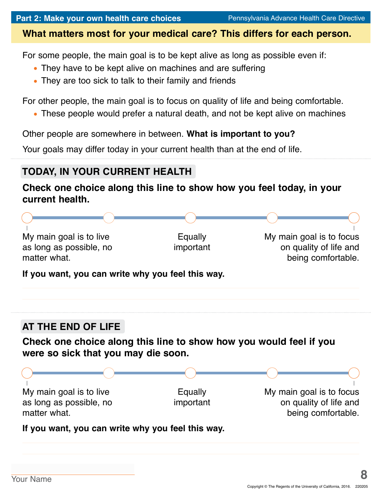### **What matters most for your medical care? This differs for each person.**

For some people, the main goal is to be kept alive as long as possible even if:

- **•** They have to be kept alive on machines and are suffering
- **•** They are too sick to talk to their family and friends

For other people, the main goal is to focus on quality of life and being comfortable.

**•** These people would prefer a natural death, and not be kept alive on machines

Other people are somewhere in between. **What is important to you?**

Your goals may differ today in your current health than at the end of life.

# **TODAY, IN YOUR CURRENT HEALTH**

### **Check one choice along this line to show how you feel today, in your current health.**

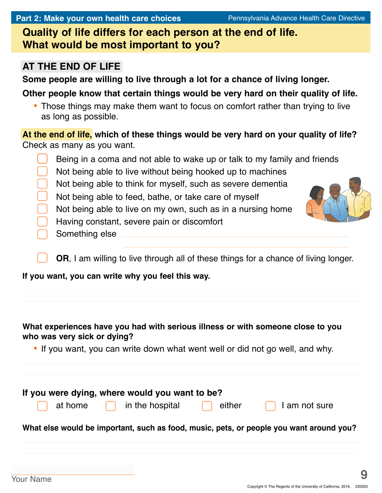**Part 2: Make your own health care choices** Pennsylvania Advance Health Care Directive

**Quality of life differs for each person at the end of life. What would be most important to you?** 

### **AT THE END OF LIFE**

**Some people are willing to live through a lot for a chance of living longer.** 

**Other people know that certain things would be very hard on their quality of life.**

**•** Those things may make them want to focus on comfort rather than trying to live as long as possible.

**At the end of life, which of these things would be very hard on your quality of life?**  Check as many as you want.

Being in a coma and not able to wake up or talk to my family and friends Not being able to live without being hooked up to machines Not being able to think for myself, such as severe dementia Not being able to feed, bathe, or take care of myself Not being able to live on my own, such as in a nursing home Having constant, severe pain or discomfort Something else

**OR**, I am willing to live through all of these things for a chance of living longer.

**If you want, you can write why you feel this way.**

### **What experiences have you had with serious illness or with someone close to you who was very sick or dying?**

**•** If you want, you can write down what went well or did not go well, and why.

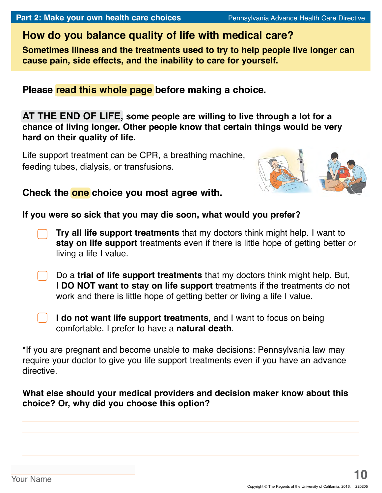# **How do you balance quality of life with medical care?**

**Sometimes illness and the treatments used to try to help people live longer can cause pain, side effects, and the inability to care for yourself.**

**Please read this whole page before making a choice.**

**AT THE END OF LIFE, some people are willing to live through a lot for a chance of living longer. Other people know that certain things would be very hard on their quality of life.**

Life support treatment can be CPR, a breathing machine, feeding tubes, dialysis, or transfusions.



### **Check the one choice you most agree with.**

**If you were so sick that you may die soon, what would you prefer?**

- **Try all life support treatments** that my doctors think might help. I want to **stay on life support** treatments even if there is little hope of getting better or living a life I value.
- Do a **trial of life support treatments** that my doctors think might help. But, I **DO NOT want to stay on life support** treatments if the treatments do not work and there is little hope of getting better or living a life I value.
	- **I do not want life support treatments**, and I want to focus on being comfortable. I prefer to have a **natural death**.

\*If you are pregnant and become unable to make decisions: Pennsylvania law may require your doctor to give you life support treatments even if you have an advance directive.

### **What else should your medical providers and decision maker know about this choice? Or, why did you choose this option?**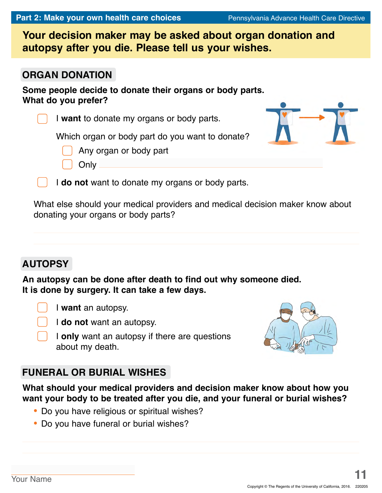|  | Part 2: Make your own health care choices |  |
|--|-------------------------------------------|--|
|--|-------------------------------------------|--|

**Your decision maker may be asked about organ donation and autopsy after you die. Please tell us your wishes.**

### **ORGAN DONATION**

**Some people decide to donate their organs or body parts. What do you prefer?**

I **want** to donate my organs or body parts.

Which organ or body part do you want to donate?

Any organ or body part

I **do not** want to donate my organs or body parts.

What else should your medical providers and medical decision maker know about donating your organs or body parts?

# **AUTOPSY**

**An autopsy can be done after death to find out why someone died. It is done by surgery. It can take a few days.**



**Only** 



I **only** want an autopsy if there are questions about my death.

# **FUNERAL OR BURIAL WISHES**

**What should your medical providers and decision maker know about how you want your body to be treated after you die, and your funeral or burial wishes?**

- **•** Do you have religious or spiritual wishes?
- **•** Do you have funeral or burial wishes?



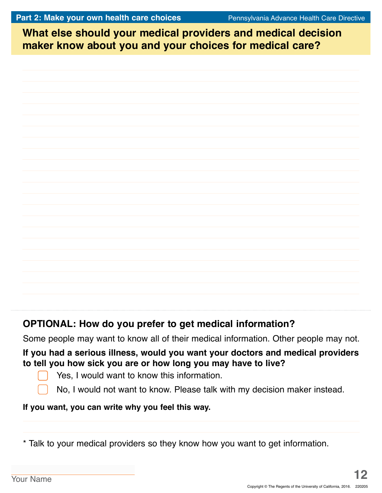**What else should your medical providers and medical decision What else should your medical providers and medical decision maker know about you and your choices for medical care? maker know about you and your choices for medical care?**

# **OPTIONAL: How do you prefer to get medical information?**

Some people may want to know all of their medical information. Other people may not.

### **If you had a serious illness, would you want your doctors and medical providers to tell you how sick you are or how long you may have to live?**

- Yes, I would want to know this information.
- No, I would not want to know. Please talk with my decision maker instead.

### **If you want, you can write why you feel this way.**

\* Talk to your medical providers so they know how you want to get information.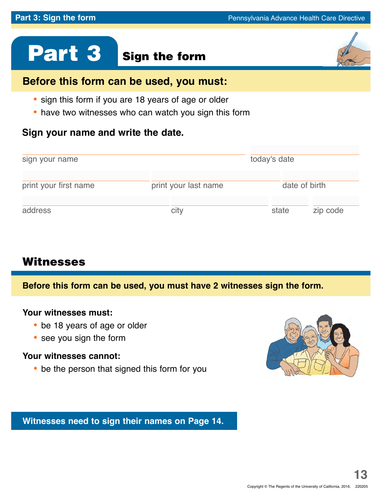# Part 3 Sign the form

# **Before this form can be used, you must:**

- **•** sign this form if you are 18 years of age or older
- **•** have two witnesses who can watch you sign this form

### **Sign your name and write the date.**

| sign your name        |                      | today's date |               |  |  |
|-----------------------|----------------------|--------------|---------------|--|--|
| print your first name | print your last name |              | date of birth |  |  |
| address               | city                 | state        | zip code      |  |  |

# Witnesses

**Before this form can be used, you must have 2 witnesses sign the form.**

### **Your witnesses must:**

- **•** be 18 years of age or older
- **•** see you sign the form

### **Your witnesses cannot:**

**•** be the person that signed this form for you



**Witnesses need to sign their names on Page 14.**